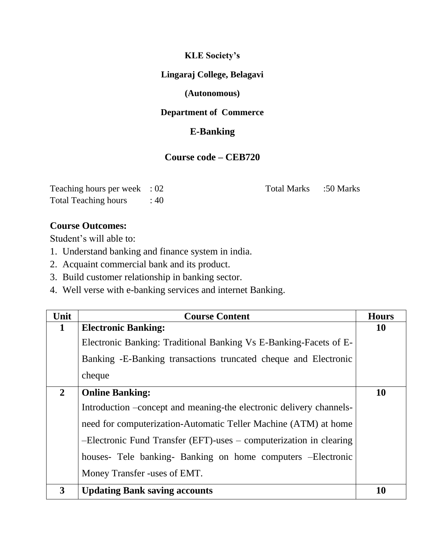### **KLE Society's**

### **Lingaraj College, Belagavi**

## **(Autonomous)**

# **Department of Commerce**

# **E-Banking**

# **Course code – CEB720**

| Teaching hours per week : 02 |     |
|------------------------------|-----|
| <b>Total Teaching hours</b>  | :40 |

Total Marks :50 Marks

### **Course Outcomes:**

Student's will able to:

- 1. Understand banking and finance system in india.
- 2. Acquaint commercial bank and its product.
- 3. Build customer relationship in banking sector.
- 4. Well verse with e-banking services and internet Banking.

| Unit           | <b>Course Content</b>                                               | <b>Hours</b> |
|----------------|---------------------------------------------------------------------|--------------|
| 1              | <b>Electronic Banking:</b>                                          | <b>10</b>    |
|                | Electronic Banking: Traditional Banking Vs E-Banking-Facets of E-   |              |
|                | Banking -E-Banking transactions truncated cheque and Electronic     |              |
|                | cheque                                                              |              |
| $\overline{2}$ | <b>Online Banking:</b>                                              | <b>10</b>    |
|                | Introduction –concept and meaning-the electronic delivery channels- |              |
|                | need for computerization-Automatic Teller Machine (ATM) at home     |              |
|                | -Electronic Fund Transfer (EFT)-uses – computerization in clearing  |              |
|                | houses- Tele banking- Banking on home computers - Electronic        |              |
|                | Money Transfer -uses of EMT.                                        |              |
| 3              | <b>Updating Bank saving accounts</b>                                | 10           |